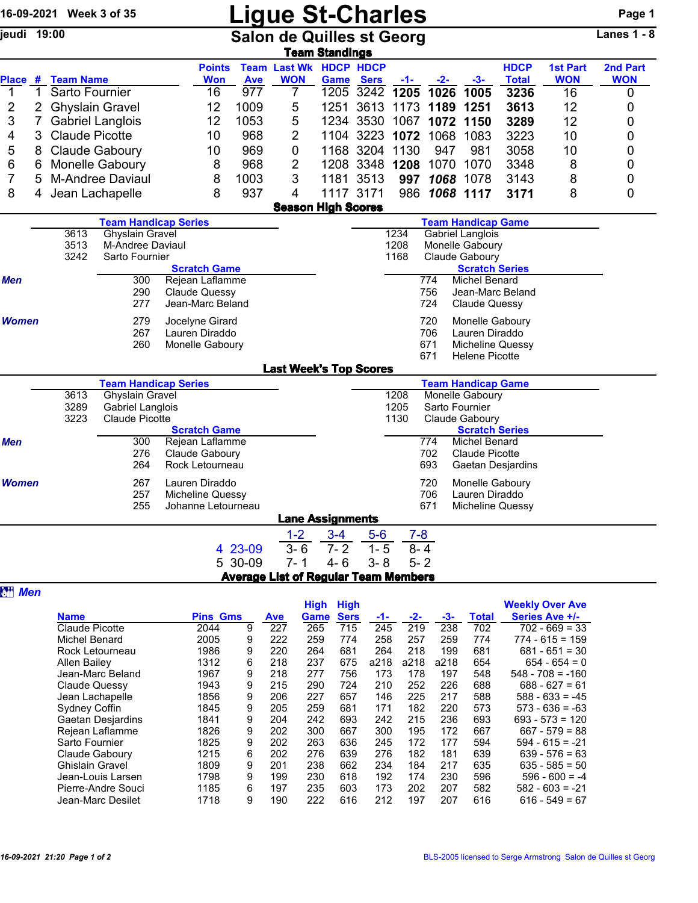## 16-09-2021 Week 3 of 35 **Ligue St-Charles** Page 1<br>
Salon de Quilles st Georg Lanes 1 - 8

Salon de Quilles st Georg

|         | Team Standings |                         |                             |            |                                             |             |                |                          |               |      |              |                               |            |
|---------|----------------|-------------------------|-----------------------------|------------|---------------------------------------------|-------------|----------------|--------------------------|---------------|------|--------------|-------------------------------|------------|
| Place # |                | <b>Team Name</b>        | <b>Points</b><br><b>Won</b> |            | <b>Team Last Wk HDCP HDCP</b><br><b>WON</b> |             |                |                          |               |      | <b>HDCP</b>  | <b>1st Part</b><br><b>WON</b> | 2nd Part   |
|         |                |                         |                             | <b>Ave</b> |                                             | <b>Game</b> | <b>Sers</b>    | $-1-$                    | $-2-$         | -3-  | <b>Total</b> |                               | <b>WON</b> |
|         |                | Sarto Fournier          | 16                          | 977        |                                             |             |                | 1205 3242 1205 1026 1005 |               |      | 3236         | 16                            | 0          |
|         |                | 2 Ghyslain Gravel       | 12                          | 1009       | 5                                           |             |                | 1251 3613 1173 1189 1251 |               |      | 3613         | 12                            | 0          |
|         |                | <b>Gabriel Langlois</b> | 12                          | 1053       | 5                                           |             |                | 1234 3530 1067           | 1072 1150     |      | 3289         | 12                            |            |
|         |                | 3 Claude Picotte        | 10                          | 968        | 2                                           |             |                | 1104 3223 1072 1068      |               | 1083 | 3223         | 10                            | 0          |
| 5       |                | 8 Claude Gaboury        | 10                          | 969        | 0                                           |             | 1168 3204 1130 |                          | 947           | 981  | 3058         | 10                            | 0          |
| 6       |                | 6 Monelle Gaboury       | 8                           | 968        | 2                                           |             |                | 1208 3348 1208           | 1070          | 1070 | 3348         | 8                             | 0          |
|         |                | 5 M-Andree Daviaul      | 8                           | 1003       | 3                                           |             | 1181 3513      | 997                      | 1068          | 1078 | 3143         | 8                             | 0          |
| 8       |                | 4 Jean Lachapelle       | 8                           | 937        | 4                                           | 1117 3171   |                |                          | 986 1068 1117 |      | 3171         | 8                             |            |
|         |                |                         |                             |            |                                             |             |                |                          |               |      |              |                               |            |

Season High Scores

|              |      | <b>Team Handicap Series</b> | <b>Team Handicap Game</b>       |
|--------------|------|-----------------------------|---------------------------------|
|              | 3613 | <b>Ghyslain Gravel</b>      | <b>Gabriel Langlois</b><br>1234 |
|              | 3513 | M-Andree Daviaul            | 1208<br>Monelle Gaboury         |
|              | 3242 | Sarto Fournier              | 1168<br>Claude Gaboury          |
|              |      | <b>Scratch Game</b>         | <b>Scratch Series</b>           |
| Men          |      | Rejean Laflamme<br>300      | 774<br>Michel Benard            |
|              |      | 290<br><b>Claude Quessy</b> | 756<br>Jean-Marc Beland         |
|              |      | Jean-Marc Beland<br>277     | 724<br><b>Claude Quessy</b>     |
| <b>Women</b> |      | Jocelyne Girard<br>279      | Monelle Gaboury<br>720          |
|              |      | 267<br>Lauren Diraddo       | 706<br>Lauren Diraddo           |
|              |      | 260<br>Monelle Gaboury      | 671<br>Micheline Quessy         |
|              |      |                             | <b>Helene Picotte</b><br>671    |

|              |      |                             |                     | <b>Last Week's Top Scores</b> |                         |         |         |                           |  |
|--------------|------|-----------------------------|---------------------|-------------------------------|-------------------------|---------|---------|---------------------------|--|
|              |      | <b>Team Handicap Series</b> |                     |                               |                         |         |         | <b>Team Handicap Game</b> |  |
|              | 3613 | <b>Ghyslain Gravel</b>      |                     |                               |                         |         | 1208    | Monelle Gaboury           |  |
|              | 3289 | <b>Gabriel Langlois</b>     |                     |                               |                         |         | 1205    | Sarto Fournier            |  |
|              | 3223 | <b>Claude Picotte</b>       |                     |                               |                         |         | 1130    | Claude Gaboury            |  |
|              |      |                             | <b>Scratch Game</b> |                               |                         |         |         | <b>Scratch Series</b>     |  |
| <b>Men</b>   |      | 300                         | Rejean Laflamme     |                               |                         |         | 774     | Michel Benard             |  |
|              |      | 276                         | Claude Gaboury      |                               |                         |         | 702     | Claude Picotte            |  |
|              |      | 264                         | Rock Letourneau     |                               |                         |         | 693     | <b>Gaetan Desjardins</b>  |  |
| <b>Women</b> |      | 267                         | Lauren Diraddo      |                               |                         |         | 720     | Monelle Gaboury           |  |
|              |      | 257                         | Micheline Quessy    |                               |                         |         | 706     | Lauren Diraddo            |  |
|              |      | 255                         | Johanne Letourneau  |                               |                         |         | 671     | Micheline Quessy          |  |
|              |      |                             |                     |                               | <b>Lane Assignments</b> |         |         |                           |  |
|              |      |                             |                     | $1 - 2$                       | $3 - 4$                 | $5-6$   | $7 - 8$ |                           |  |
|              |      |                             | 4 23-09             | $3 - 6$                       | $7 - 2$                 | $1 - 5$ | $8 - 4$ |                           |  |
|              |      |                             | 5 30-09             | $7 - 1$                       | $4 - 6$                 | $3 - 8$ | $5 - 2$ |                           |  |

| <b>Average List of Regular Team Members</b> |  |  |
|---------------------------------------------|--|--|
|                                             |  |  |

Pierre-Andre Souci 1185 6 197 235 603 173 202 207 582 582 - 603 = -21

Jean-Marc Desilet 1718 9 190 222 616 212 197 207 616

| <b>att Men</b> |                        |                 |   |            |             |             |      |       |      |              |                        |
|----------------|------------------------|-----------------|---|------------|-------------|-------------|------|-------|------|--------------|------------------------|
|                |                        |                 |   |            | <b>High</b> | <b>High</b> |      |       |      |              | <b>Weekly Over Ave</b> |
|                | <b>Name</b>            | <b>Pins Gms</b> |   | <b>Ave</b> | Game        | <b>Sers</b> | -1-  | $-2-$ | -3-  | <b>Total</b> | Series Ave +/-         |
|                | <b>Claude Picotte</b>  | 2044            | 9 | 227        | 265         | 715         | 245  | 219   | 238  | 702          | $702 - 669 = 33$       |
|                | <b>Michel Benard</b>   | 2005            | 9 | 222        | 259         | 774         | 258  | 257   | 259  | 774          | $774 - 615 = 159$      |
|                | Rock Letourneau        | 1986            | 9 | 220        | 264         | 681         | 264  | 218   | 199  | 681          | $681 - 651 = 30$       |
|                | Allen Bailey           | 1312            | 6 | 218        | 237         | 675         | a218 | a218  | a218 | 654          | $654 - 654 = 0$        |
|                | Jean-Marc Beland       | 1967            | 9 | 218        | 277         | 756         | 173  | 178   | 197  | 548          | $548 - 708 = -160$     |
|                | Claude Quessy          | 1943            | 9 | 215        | 290         | 724         | 210  | 252   | 226  | 688          | $688 - 627 = 61$       |
|                | Jean Lachapelle        | 1856            | 9 | 206        | 227         | 657         | 146  | 225   | 217  | 588          | $588 - 633 = -45$      |
|                | Sydney Coffin          | 1845            | 9 | 205        | 259         | 681         | 171  | 182   | 220  | 573          | $573 - 636 = -63$      |
|                | Gaetan Desjardins      | 1841            | 9 | 204        | 242         | 693         | 242  | 215   | 236  | 693          | $693 - 573 = 120$      |
|                | Rejean Laflamme        | 1826            | 9 | 202        | 300         | 667         | 300  | 195   | 172  | 667          | $667 - 579 = 88$       |
|                | Sarto Fournier         | 1825            | 9 | 202        | 263         | 636         | 245  | 172   | 177  | 594          | $594 - 615 = -21$      |
|                | Claude Gaboury         | 1215            | 6 | 202        | 276         | 639         | 276  | 182   | 181  | 639          | $639 - 576 = 63$       |
|                | <b>Ghislain Gravel</b> | 1809            | 9 | 201        | 238         | 662         | 234  | 184   | 217  | 635          | $635 - 585 = 50$       |
|                | Jean-Louis Larsen      | 1798            | 9 | 199        | 230         | 618         | 192  | 174   | 230  | 596          | $596 - 600 = -4$       |
|                | Pierre-Andre Souci     | 1185            | 6 | 197        | 235         | 603         | 173  | 202   | 207  | 582          | $582 - 603 = -21$      |